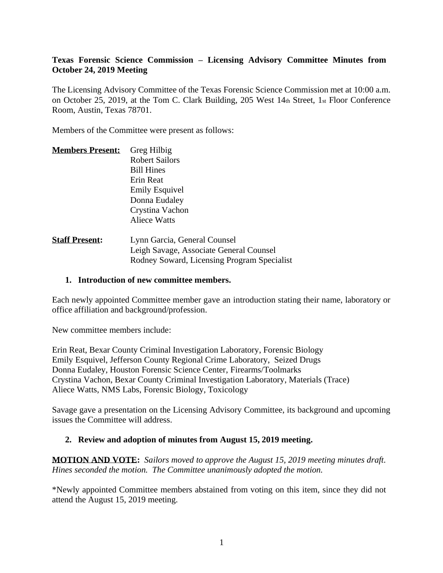## **Texas Forensic Science Commission – Licensing Advisory Committee Minutes from October 24, 2019 Meeting**

The Licensing Advisory Committee of the Texas Forensic Science Commission met at 10:00 a.m. on October 25, 2019, at the Tom C. Clark Building, 205 West 14th Street, 1st Floor Conference Room, Austin, Texas 78701.

Members of the Committee were present as follows:

| <b>Members Present:</b> | Greg Hilbig                  |
|-------------------------|------------------------------|
|                         | <b>Robert Sailors</b>        |
|                         | <b>Bill Hines</b>            |
|                         | Erin Reat                    |
|                         | <b>Emily Esquivel</b>        |
|                         | Donna Eudaley                |
|                         | Crystina Vachon              |
|                         | <b>Aliece Watts</b>          |
| <b>Staff Procont</b>    | Lynn Garcia, General Councel |

**Staff Present:** Lynn Garcia, General Counsel Leigh Savage, Associate General Counsel Rodney Soward, Licensing Program Specialist

### **1. Introduction of new committee members.**

Each newly appointed Committee member gave an introduction stating their name, laboratory or office affiliation and background/profession.

New committee members include:

Erin Reat, Bexar County Criminal Investigation Laboratory, Forensic Biology Emily Esquivel, Jefferson County Regional Crime Laboratory, Seized Drugs Donna Eudaley, Houston Forensic Science Center, Firearms/Toolmarks Crystina Vachon, Bexar County Criminal Investigation Laboratory, Materials (Trace) Aliece Watts, NMS Labs, Forensic Biology, Toxicology

Savage gave a presentation on the Licensing Advisory Committee, its background and upcoming issues the Committee will address.

### **2. Review and adoption of minutes from August 15, 2019 meeting.**

**MOTION AND VOTE:** *Sailors moved to approve the August 15, 2019 meeting minutes draft. Hines seconded the motion. The Committee unanimously adopted the motion.*

\*Newly appointed Committee members abstained from voting on this item, since they did not attend the August 15, 2019 meeting.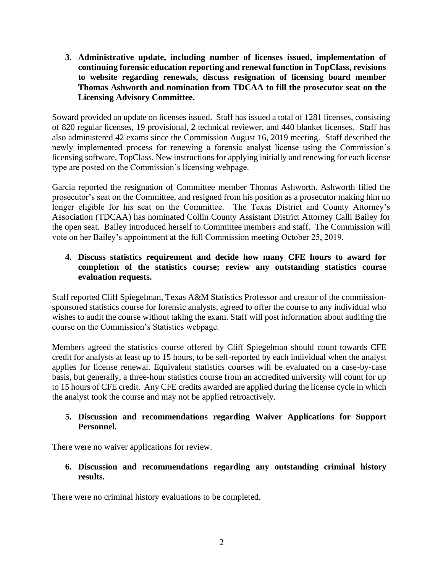**3. Administrative update, including number of licenses issued, implementation of continuing forensic education reporting and renewal function in TopClass, revisions to website regarding renewals, discuss resignation of licensing board member Thomas Ashworth and nomination from TDCAA to fill the prosecutor seat on the Licensing Advisory Committee.**

Soward provided an update on licenses issued. Staff has issued a total of 1281 licenses, consisting of 820 regular licenses, 19 provisional, 2 technical reviewer, and 440 blanket licenses. Staff has also administered 42 exams since the Commission August 16, 2019 meeting. Staff described the newly implemented process for renewing a forensic analyst license using the Commission's licensing software, TopClass. New instructions for applying initially and renewing for each license type are posted on the Commission's licensing webpage.

Garcia reported the resignation of Committee member Thomas Ashworth. Ashworth filled the prosecutor's seat on the Committee, and resigned from his position as a prosecutor making him no longer eligible for his seat on the Committee. The Texas District and County Attorney's Association (TDCAA) has nominated Collin County Assistant District Attorney Calli Bailey for the open seat. Bailey introduced herself to Committee members and staff. The Commission will vote on her Bailey's appointment at the full Commission meeting October 25, 2019.

# **4. Discuss statistics requirement and decide how many CFE hours to award for completion of the statistics course; review any outstanding statistics course evaluation requests.**

Staff reported Cliff Spiegelman, Texas A&M Statistics Professor and creator of the commissionsponsored statistics course for forensic analysts, agreed to offer the course to any individual who wishes to audit the course without taking the exam. Staff will post information about auditing the course on the Commission's Statistics webpage.

Members agreed the statistics course offered by Cliff Spiegelman should count towards CFE credit for analysts at least up to 15 hours, to be self-reported by each individual when the analyst applies for license renewal. Equivalent statistics courses will be evaluated on a case-by-case basis, but generally, a three-hour statistics course from an accredited university will count for up to 15 hours of CFE credit. Any CFE credits awarded are applied during the license cycle in which the analyst took the course and may not be applied retroactively.

# **5. Discussion and recommendations regarding Waiver Applications for Support Personnel.**

There were no waiver applications for review.

# **6. Discussion and recommendations regarding any outstanding criminal history results.**

There were no criminal history evaluations to be completed.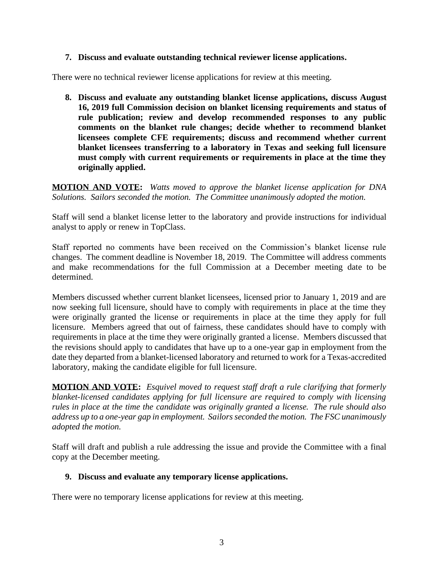## **7. Discuss and evaluate outstanding technical reviewer license applications.**

There were no technical reviewer license applications for review at this meeting.

**8. Discuss and evaluate any outstanding blanket license applications, discuss August 16, 2019 full Commission decision on blanket licensing requirements and status of rule publication; review and develop recommended responses to any public comments on the blanket rule changes; decide whether to recommend blanket licensees complete CFE requirements; discuss and recommend whether current blanket licensees transferring to a laboratory in Texas and seeking full licensure must comply with current requirements or requirements in place at the time they originally applied.** 

**MOTION AND VOTE:** *Watts moved to approve the blanket license application for DNA Solutions. Sailors seconded the motion. The Committee unanimously adopted the motion.*

Staff will send a blanket license letter to the laboratory and provide instructions for individual analyst to apply or renew in TopClass.

Staff reported no comments have been received on the Commission's blanket license rule changes. The comment deadline is November 18, 2019. The Committee will address comments and make recommendations for the full Commission at a December meeting date to be determined.

Members discussed whether current blanket licensees, licensed prior to January 1, 2019 and are now seeking full licensure, should have to comply with requirements in place at the time they were originally granted the license or requirements in place at the time they apply for full licensure. Members agreed that out of fairness, these candidates should have to comply with requirements in place at the time they were originally granted a license. Members discussed that the revisions should apply to candidates that have up to a one-year gap in employment from the date they departed from a blanket-licensed laboratory and returned to work for a Texas-accredited laboratory, making the candidate eligible for full licensure.

**MOTION AND VOTE:** *Esquivel moved to request staff draft a rule clarifying that formerly blanket-licensed candidates applying for full licensure are required to comply with licensing rules in place at the time the candidate was originally granted a license. The rule should also address up to a one-year gap in employment. Sailors seconded the motion. The FSC unanimously adopted the motion.*

Staff will draft and publish a rule addressing the issue and provide the Committee with a final copy at the December meeting.

# **9. Discuss and evaluate any temporary license applications.**

There were no temporary license applications for review at this meeting.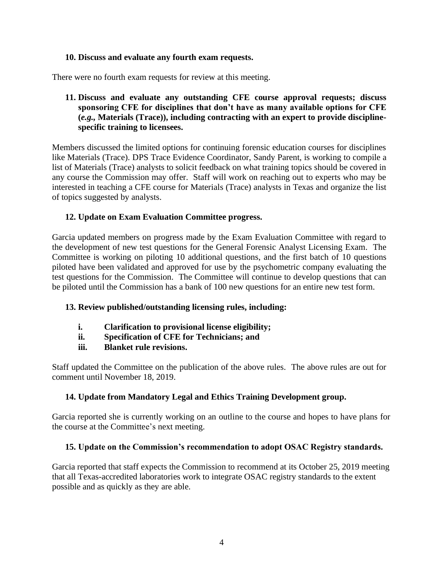## **10. Discuss and evaluate any fourth exam requests.**

There were no fourth exam requests for review at this meeting.

## **11. Discuss and evaluate any outstanding CFE course approval requests; discuss sponsoring CFE for disciplines that don't have as many available options for CFE (***e.g.,* **Materials (Trace)), including contracting with an expert to provide disciplinespecific training to licensees.**

Members discussed the limited options for continuing forensic education courses for disciplines like Materials (Trace). DPS Trace Evidence Coordinator, Sandy Parent, is working to compile a list of Materials (Trace) analysts to solicit feedback on what training topics should be covered in any course the Commission may offer. Staff will work on reaching out to experts who may be interested in teaching a CFE course for Materials (Trace) analysts in Texas and organize the list of topics suggested by analysts.

### **12. Update on Exam Evaluation Committee progress.**

Garcia updated members on progress made by the Exam Evaluation Committee with regard to the development of new test questions for the General Forensic Analyst Licensing Exam. The Committee is working on piloting 10 additional questions, and the first batch of 10 questions piloted have been validated and approved for use by the psychometric company evaluating the test questions for the Commission. The Committee will continue to develop questions that can be piloted until the Commission has a bank of 100 new questions for an entire new test form.

# **13. Review published/outstanding licensing rules, including:**

- **i. Clarification to provisional license eligibility;**
- **ii. Specification of CFE for Technicians; and**
- **iii. Blanket rule revisions.**

Staff updated the Committee on the publication of the above rules. The above rules are out for comment until November 18, 2019.

# **14. Update from Mandatory Legal and Ethics Training Development group.**

Garcia reported she is currently working on an outline to the course and hopes to have plans for the course at the Committee's next meeting.

### **15. Update on the Commission's recommendation to adopt OSAC Registry standards.**

Garcia reported that staff expects the Commission to recommend at its October 25, 2019 meeting that all Texas-accredited laboratories work to integrate OSAC registry standards to the extent possible and as quickly as they are able.